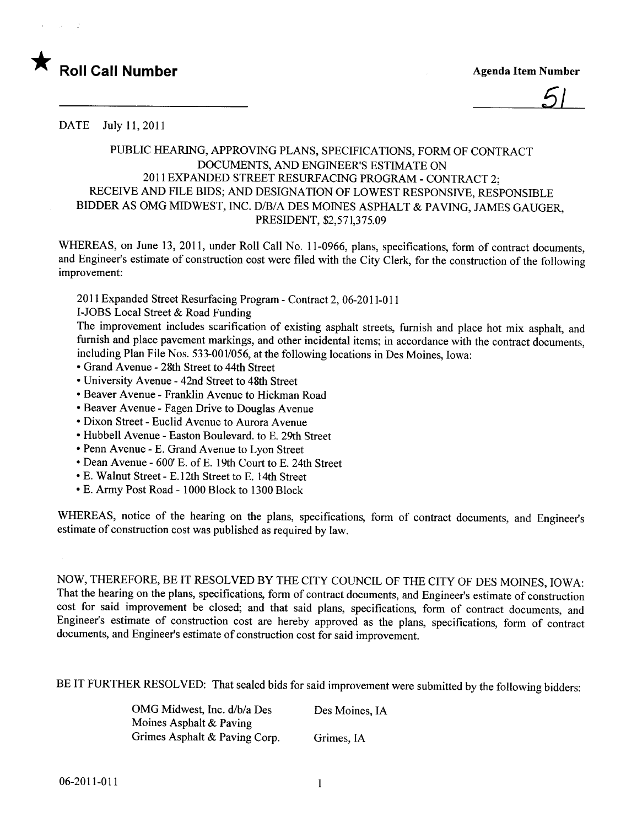

5/

DATE July 11, 2011

## PUBLIC HEARING, APPROVING PLANS, SPECIFICATIONS, FORM OF CONTRACT DOCUMENTS, AND ENGINEER'S ESTIMATE ON 201 i EXPANDED STREET RESURFACING PROGRAM - CONTRACT 2; RECEIVE AND FILE BIDS; AND DESIGNATION OF LOWEST RESPONSIVE, RESPONSIBLE BIDDER AS OMG MIDWEST, INC. D/B/A DES MOINES ASPHALT & PAVING, JAMES GAUGER, PRESIDENT, \$2,571,375.09

WHEREAS, on June 13, 2011, under Roll Call No. 11-0966, plans, specifications, form of contract documents, and Engineer's estimate of construction cost were fied with the City Clerk, for the construction of the following improvement:

20 i 1 Expanded Street Resurfacing Program - Contract 2, 06-2011-0 i i

I-JOBS Local Street & Road Funding

The improvement includes scarification of existing asphalt streets, furnish and place hot mix asphalt, and furnish and place pavement markings, and other incidental items; in accordance with the contract documents, including Plan File Nos. 533-001/056, at the following locations in Des Moines, Iowa:

- · Grand Avenue 28th Street to 44th Street
- · University Avenue 42nd Street to 48th Street
- · Beaver Avenue Franklin Avenue to Hickman Road
- · Beaver Avenue Fagen Drive to Douglas Avenue
- · Dixon Street Euclid Avenue to Aurora Avenue
- . Hubbell Avenue Easton Boulevard. to E. 29th Street
- · Penn Avenue E. Grand Avenue to Lyon Street
- · Dean Avenue 600' E. of E. 19th Court to E. 24th Street
- · E. Walnut Street E. 12th Street to E. 14th Street
- · E. Army Post Road 1000 Block to 1300 Block

WHEREAS, notice of the hearing on the plans, specifications, form of contract documents, and Engineer's estimate of construction cost was published as required by law.

NOW, THEREFORE, BE IT RESOLVED BY THE CITY COUNCIL OF THE CITY OF DES MOINES, IOWA: That the hearing on the plans, specifications, form of contract documents, and Engineer's estimate of construction cost for said improvement be closed; and that said plans, specifications, form of contract documents, and Engineer's estimate of construction cost are hereby approved as the plans, specifications, form of contract documents, and Engineer's estimate of construction cost for said improvement.

BE IT FURTHER RESOLVED: That sealed bids for said improvement were submitted by the following bidders:

OMG Midwest, Inc. d/b/a Des Moines Asphalt & Paving Grimes Asphalt & Paving Corp. Des Moines, IA Grimes, IA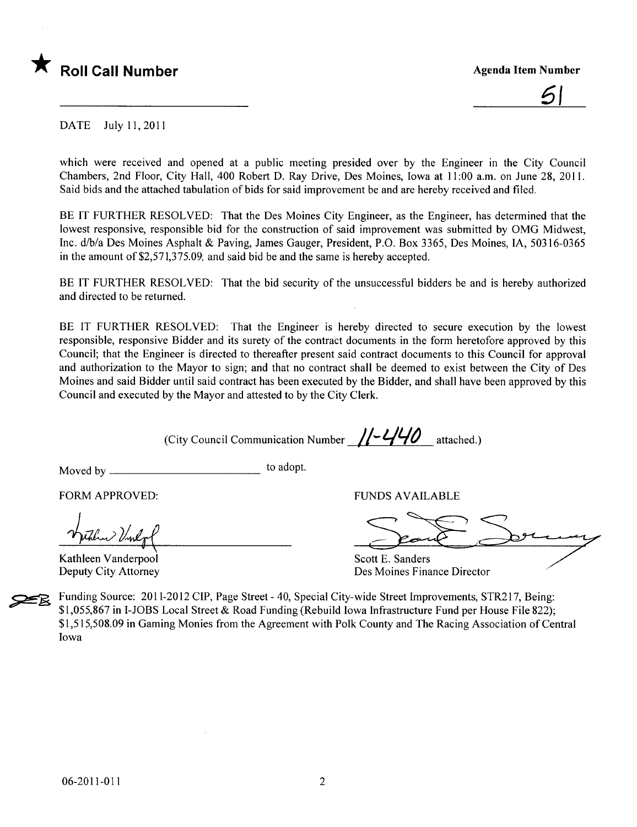



DATE July 11,2011

which were received and opened at a public meeting presided over by the Engineer in the City Council Chambers, 2nd Floor, City Hall, 400 Robert D. Ray Drive, Des Moines, Iowa at 11:00 a.m. on June 28, 2011. Said bids and the attached tabulation of bids for said improvement be and are hereby received and fied.

BE IT FURTHER RESOLVED: That the Des Moines City Engineer, as the Engineer, has determined that the lowest responsive, responsible bid for the construction of said improvement was submitted by OMG Midwest, Inc. d/b/a Des Moines Asphalt & Paving, James Gauger, President, P.O. Box 3365, Des Moines, lA, 50316-0365 in the amount of\$2,571,375.09, and said bid be and the same is hereby accepted.

BE IT FURTHER RESOLVED: That the bid security of the unsuccessful bidders be and is hereby authorized and directed to be returned.

BE IT FURTHER RESOLVED: That the Engineer is hereby directed to secure execution by the lowest responsible, responsive Bidder and its surety of the contract documents in the form heretofore approved by this Council; that the Engineer is directed to thereafter present said contract documents to this Council for approval and authorization to the Mayor to sign; and that no contract shall be deemed to exist between the City of Des Moines and said Bidder until said contract has been executed by the Bidder, and shall have been approved by this Council and executed by the Mayor and attested to by the City Clerk.

(City Council Communication Number  $\frac{1}{-440}$  attached.)

Moved by to adopt.

FORM APPROVED:

Kathleen Vanderpool

FUNDS AVAILABLE

Scott E. Sanders<br>Des Moines Finance Director

Deputy City Attorney Des Moines Finance Director

\* Funding Source: 2011-2012 CIP, Page Street - 40, Special City-wide Street Improvements, STR217, Being:<br>Funding Source: 2011-2012 CIP, Page Street - 40, Special City-wide Street Improvements, STR217, Being: \$1,055,867 in I-JOBS Local Street & Road Funding (Rebuild Iowa Infrastructure Fund per House File 822); \$1,515,508.09 in Gaming Monies from the Agreement with Polk County and The Racing Association of Central Iowa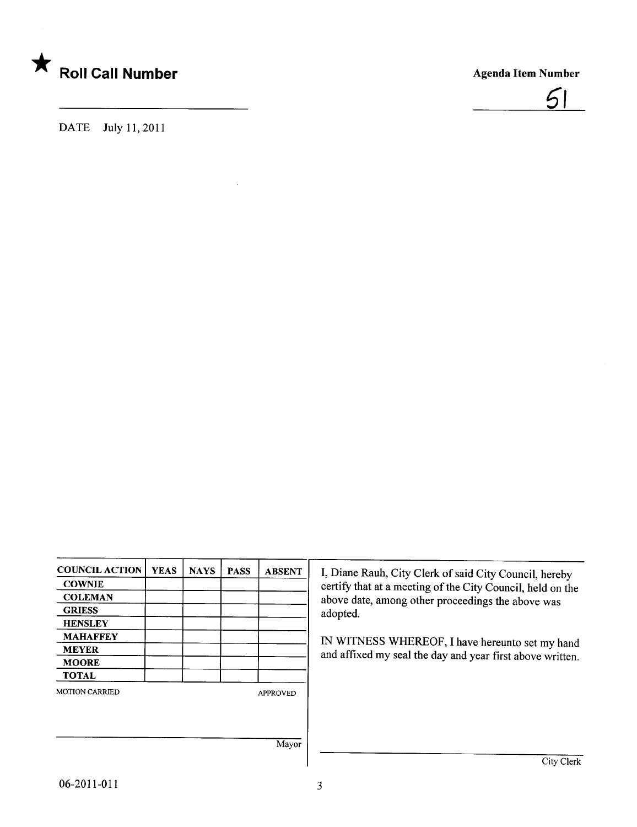



DATE July 11, 2011

| <b>COUNCIL ACTION</b> | <b>YEAS</b> | <b>NAYS</b> | <b>PASS</b> | <b>ABSENT</b>   |
|-----------------------|-------------|-------------|-------------|-----------------|
| <b>COWNIE</b>         |             |             |             |                 |
| <b>COLEMAN</b>        |             |             |             |                 |
| <b>GRIESS</b>         |             |             |             |                 |
| <b>HENSLEY</b>        |             |             |             |                 |
| <b>MAHAFFEY</b>       |             |             |             |                 |
| <b>MEYER</b>          |             |             |             |                 |
| <b>MOORE</b>          |             |             |             |                 |
| <b>TOTAL</b>          |             |             |             |                 |
| <b>MOTION CARRIED</b> |             |             |             | <b>APPROVED</b> |
|                       |             |             |             |                 |
|                       |             |             |             |                 |
|                       |             |             |             |                 |
|                       |             |             |             | Mayor           |

I, Diane Rauh, City Clerk of said City Council, hereby certify that at a meeting of the City Council, held on the above date, among other proceedings the above was adopted.

IN WITNESS WHEREOF, I have hereunto set my hand and affixed my seal the day and year first above written.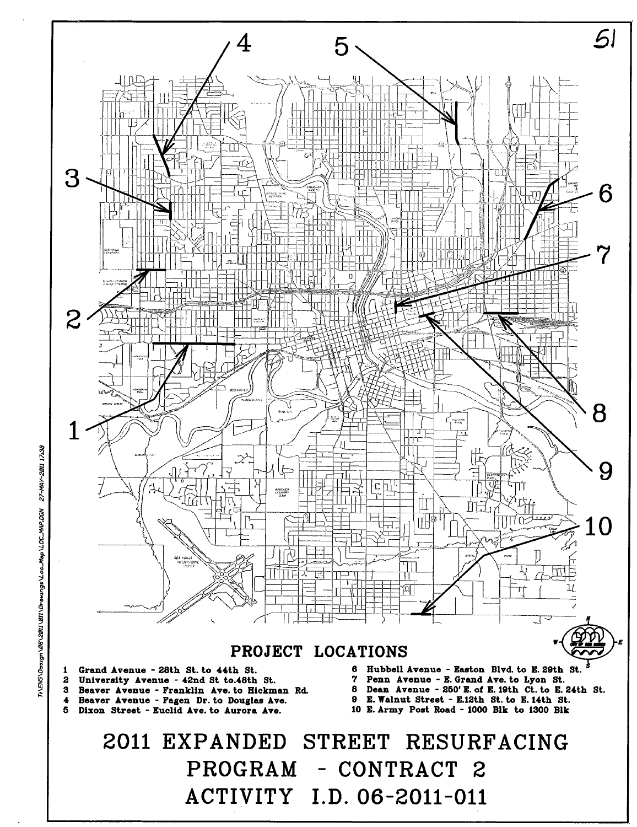